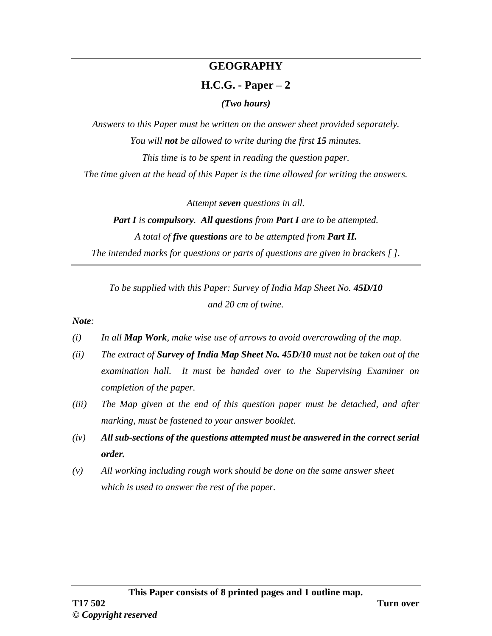## **GEOGRAPHY**

## **H.C.G. - Paper – 2**

*(Two hours)*

*Answers to this Paper must be written on the answer sheet provided separately. You will not be allowed to write during the first 15 minutes. This time is to be spent in reading the question paper. The time given at the head of this Paper is the time allowed for writing the answers.*

*Attempt seven questions in all.*

*Part I is compulsory. All questions from Part I are to be attempted. A total of five questions are to be attempted from Part II. The intended marks for questions or parts of questions are given in brackets [ ].*

*To be supplied with this Paper: Survey of India Map Sheet No. 45D/10 and 20 cm of twine.*

*Note:*

- *(i) In all Map Work, make wise use of arrows to avoid overcrowding of the map.*
- *(ii) The extract of Survey of India Map Sheet No. 45D/10 must not be taken out of the examination hall. It must be handed over to the Supervising Examiner on completion of the paper.*
- *(iii) The Map given at the end of this question paper must be detached, and after marking, must be fastened to your answer booklet.*
- *(iv) All sub-sections of the questions attempted must be answered in the correct serial order.*
- *(v) All working including rough work should be done on the same answer sheet which is used to answer the rest of the paper.*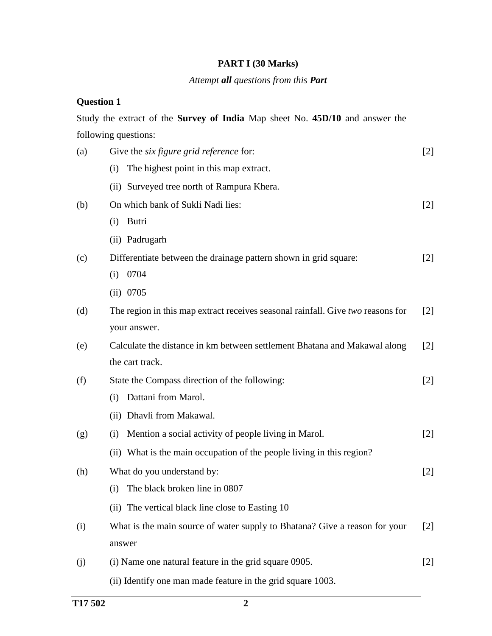### **PART I (30 Marks)**

#### *Attempt all questions from this Part*

### **Question 1**

Study the extract of the **Survey of India** Map sheet No. **45D/10** and answer the following questions:

| (a) | Give the <i>six figure grid reference</i> for:                                  | $[2]$ |
|-----|---------------------------------------------------------------------------------|-------|
|     | The highest point in this map extract.<br>(i)                                   |       |
|     | (ii) Surveyed tree north of Rampura Khera.                                      |       |
| (b) | On which bank of Sukli Nadi lies:                                               | $[2]$ |
|     | Butri<br>(i)                                                                    |       |
|     | (ii) Padrugarh                                                                  |       |
| (c) | Differentiate between the drainage pattern shown in grid square:                | $[2]$ |
|     | 0704<br>(i)                                                                     |       |
|     | (ii) 0705                                                                       |       |
| (d) | The region in this map extract receives seasonal rainfall. Give two reasons for | $[2]$ |
|     | your answer.                                                                    |       |
| (e) | Calculate the distance in km between settlement Bhatana and Makawal along       | $[2]$ |
|     | the cart track.                                                                 |       |
| (f) | State the Compass direction of the following:                                   | $[2]$ |
|     | Dattani from Marol.<br>(i)                                                      |       |
|     | (ii) Dhavli from Makawal.                                                       |       |
| (g) | Mention a social activity of people living in Marol.<br>(i)                     | $[2]$ |
|     | (ii) What is the main occupation of the people living in this region?           |       |
| (h) | What do you understand by:                                                      | $[2]$ |
|     | The black broken line in 0807<br>(i)                                            |       |
|     | (ii) The vertical black line close to Easting 10                                |       |
| (i) | What is the main source of water supply to Bhatana? Give a reason for your      | $[2]$ |
|     | answer                                                                          |       |
| (j) | (i) Name one natural feature in the grid square 0905.                           | $[2]$ |
|     | (ii) Identify one man made feature in the grid square 1003.                     |       |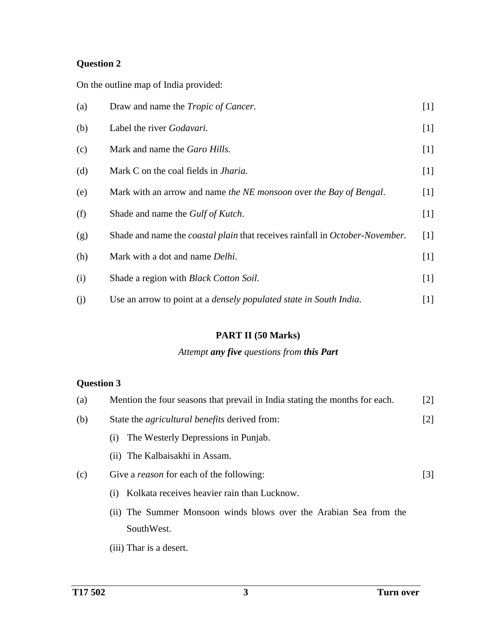On the outline map of India provided:

| (a) | Draw and name the <i>Tropic of Cancer</i> .                                         | $[1]$ |
|-----|-------------------------------------------------------------------------------------|-------|
| (b) | Label the river Godavari.                                                           | $[1]$ |
| (c) | Mark and name the Garo Hills.                                                       | $[1]$ |
| (d) | Mark C on the coal fields in <i>Jharia</i> .                                        | $[1]$ |
| (e) | Mark with an arrow and name the NE monsoon over the Bay of Bengal.                  | $[1]$ |
| (f) | Shade and name the <i>Gulf of Kutch</i> .                                           | $[1]$ |
| (g) | Shade and name the <i>coastal plain</i> that receives rainfall in October-November. | [1]   |
| (h) | Mark with a dot and name <i>Delhi</i> .                                             | $[1]$ |
| (i) | Shade a region with <i>Black Cotton Soil</i> .                                      | $[1]$ |
| (j) | Use an arrow to point at a <i>densely populated state in South India</i> .          | $[1]$ |

### **PART II (50 Marks)**

## *Attempt any five questions from this Part*

## **Question 3**

| (a) | Mention the four seasons that prevail in India stating the months for each. | $\lceil 2 \rceil$ |  |  |  |  |
|-----|-----------------------------------------------------------------------------|-------------------|--|--|--|--|
| (b) | State the <i>agricultural benefits</i> derived from:                        | $[2]$             |  |  |  |  |
|     | The Westerly Depressions in Punjab.<br>(1)                                  |                   |  |  |  |  |
|     | (ii) The Kalbaisakhi in Assam.                                              |                   |  |  |  |  |
| (c) | Give a <i>reason</i> for each of the following:                             |                   |  |  |  |  |
|     | Kolkata receives heavier rain than Lucknow.<br>(1)                          |                   |  |  |  |  |
|     | (ii) The Summer Monsoon winds blows over the Arabian Sea from the           |                   |  |  |  |  |
|     | SouthWest.                                                                  |                   |  |  |  |  |
|     |                                                                             |                   |  |  |  |  |

(iii) Thar is a desert.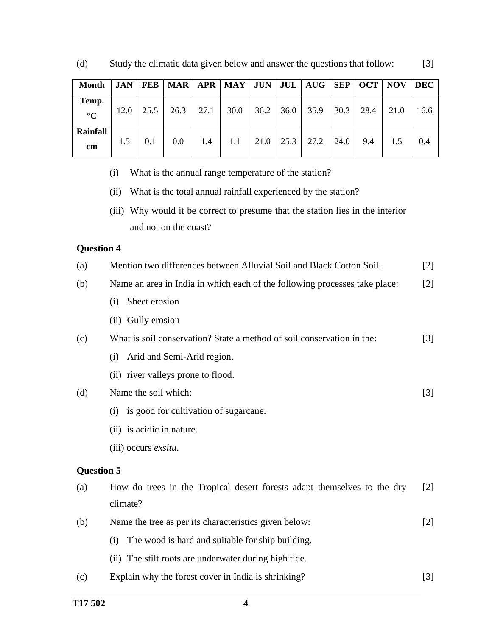| <b>Month</b>             | <b>JAN</b> | <b>FEB</b> | MAR   APR   MAY   JUN   JUL   AUG   SEP   OCT   NOV   DEC |      |      |      |      |      |      |      |      |      |
|--------------------------|------------|------------|-----------------------------------------------------------|------|------|------|------|------|------|------|------|------|
| Temp.<br>$\rm ^{\circ}C$ | 12.0       | 25.5       | 26.3                                                      | 27.1 | 30.0 | 36.2 | 36.0 | 35.9 | 30.3 | 28.4 | 21.0 | 16.6 |
| Rainfall<br>cm           | 1.5        | 0.1        | 0.0                                                       | 1.4  | 1.1  | 21.0 | 25.3 | 27.2 | 24.0 | 9.4  | 1.5  | 0.4  |

(d) Study the climatic data given below and answer the questions that follow: [3]

(i) What is the annual range temperature of the station?

(ii) What is the total annual rainfall experienced by the station?

(iii) Why would it be correct to presume that the station lies in the interior and not on the coast?

#### **Question 4**

| (a) | Mention two differences between Alluvial Soil and Black Cotton Soil.       | $[2]$             |
|-----|----------------------------------------------------------------------------|-------------------|
| (b) | Name an area in India in which each of the following processes take place: | $\lceil 2 \rceil$ |
|     | Sheet erosion<br>(i)                                                       |                   |
|     | (ii) Gully erosion                                                         |                   |
| (c) | What is soil conservation? State a method of soil conservation in the:     | $\lceil 3 \rceil$ |
|     | Arid and Semi-Arid region.<br>(i)                                          |                   |
|     | (ii) river valleys prone to flood.                                         |                   |
| (d) | Name the soil which:                                                       | $[3]$             |
|     | is good for cultivation of sugarcane.<br>(i)                               |                   |
|     | (ii) is acidic in nature.                                                  |                   |
|     | (iii) occurs exsitu.                                                       |                   |
|     | <b>Question 5</b>                                                          |                   |
| (a) | How do trees in the Tropical desert forests adapt themselves to the dry    | $\lceil 2 \rceil$ |
|     | climate?                                                                   |                   |
| (b) | Name the tree as per its characteristics given below:                      | $[2]$             |
|     | The wood is hard and suitable for ship building.<br>(i)                    |                   |
|     | The stilt roots are underwater during high tide.<br>(ii)                   |                   |
|     |                                                                            |                   |

(c) Explain why the forest cover in India is shrinking? [3]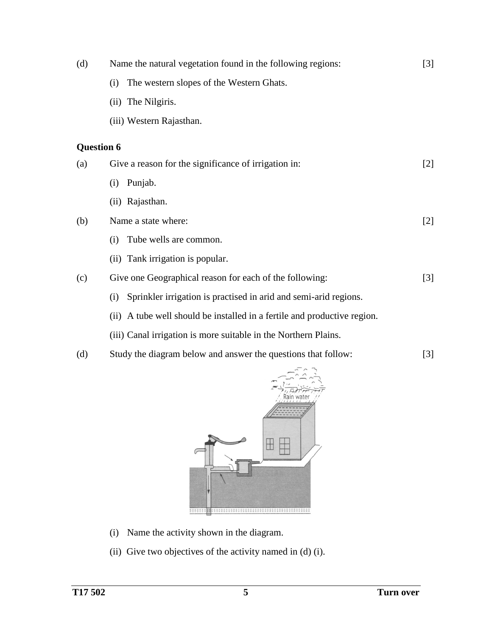| (d)               | Name the natural vegetation found in the following regions:<br>$[3]$ |                                                                          |       |  |  |  |  |
|-------------------|----------------------------------------------------------------------|--------------------------------------------------------------------------|-------|--|--|--|--|
|                   | (i)                                                                  | The western slopes of the Western Ghats.                                 |       |  |  |  |  |
|                   |                                                                      | (ii) The Nilgiris.                                                       |       |  |  |  |  |
|                   |                                                                      | (iii) Western Rajasthan.                                                 |       |  |  |  |  |
| <b>Question 6</b> |                                                                      |                                                                          |       |  |  |  |  |
| (a)               |                                                                      | Give a reason for the significance of irrigation in:                     | $[2]$ |  |  |  |  |
|                   | (i)                                                                  | Punjab.                                                                  |       |  |  |  |  |
|                   |                                                                      | (ii) Rajasthan.                                                          |       |  |  |  |  |
| (b)               |                                                                      | Name a state where:                                                      | $[2]$ |  |  |  |  |
|                   | (i)                                                                  | Tube wells are common.                                                   |       |  |  |  |  |
|                   |                                                                      | (ii) Tank irrigation is popular.                                         |       |  |  |  |  |
| (c)               |                                                                      | Give one Geographical reason for each of the following:                  | $[3]$ |  |  |  |  |
|                   | (i)                                                                  | Sprinkler irrigation is practised in arid and semi-arid regions.         |       |  |  |  |  |
|                   |                                                                      | (ii) A tube well should be installed in a fertile and productive region. |       |  |  |  |  |
|                   |                                                                      | (iii) Canal irrigation is more suitable in the Northern Plains.          |       |  |  |  |  |

(d) Study the diagram below and answer the questions that follow: [3]



- (i) Name the activity shown in the diagram.
- (ii) Give two objectives of the activity named in (d) (i).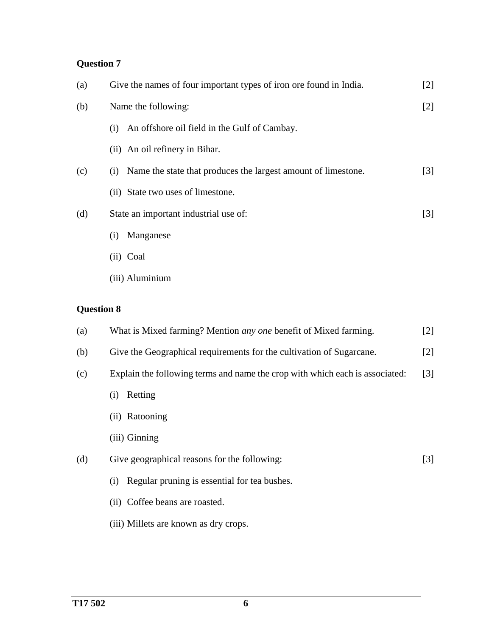| (a) | Give the names of four important types of iron ore found in India.   | $[2]$             |
|-----|----------------------------------------------------------------------|-------------------|
| (b) | Name the following:                                                  | $[2]$             |
|     | An offshore oil field in the Gulf of Cambay.<br>$\left( 1 \right)$   |                   |
|     | (ii) An oil refinery in Bihar.                                       |                   |
| (c) | Name the state that produces the largest amount of limestone.<br>(i) | $\lceil 3 \rceil$ |
|     | (ii) State two uses of limestone.                                    |                   |
| (d) | State an important industrial use of:                                | $\lceil 3 \rceil$ |
|     | Manganese<br>$\left( 1 \right)$                                      |                   |
|     | $(ii)$ Coal                                                          |                   |

(iii) Aluminium

# **Question 8**

| (a) | What is Mixed farming? Mention <i>any one</i> benefit of Mixed farming.               | $[2]$             |  |  |  |  |  |
|-----|---------------------------------------------------------------------------------------|-------------------|--|--|--|--|--|
| (b) | Give the Geographical requirements for the cultivation of Sugarcane.                  | $\lceil 2 \rceil$ |  |  |  |  |  |
| (c) | Explain the following terms and name the crop with which each is associated:<br>$[3]$ |                   |  |  |  |  |  |
|     | Retting<br>$\left( 1\right)$                                                          |                   |  |  |  |  |  |
|     | (ii) Ratooning                                                                        |                   |  |  |  |  |  |
|     | (iii) Ginning                                                                         |                   |  |  |  |  |  |
| (d) | Give geographical reasons for the following:                                          | $[3]$             |  |  |  |  |  |
|     | Regular pruning is essential for tea bushes.<br>(i)                                   |                   |  |  |  |  |  |
|     | (ii) Coffee beans are roasted.                                                        |                   |  |  |  |  |  |
|     | (iii) Millets are known as dry crops.                                                 |                   |  |  |  |  |  |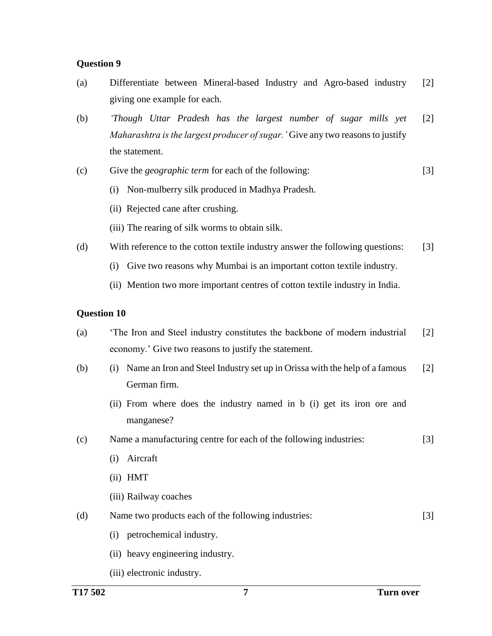- (a) Differentiate between Mineral-based Industry and Agro-based industry giving one example for each. [2]
- (b) *'Though Uttar Pradesh has the largest number of sugar mills yet Maharashtra is the largest producer of sugar.'* Give any two reasonsto justify the statement. [2]
- (c) Give the *geographic term* for each of the following: [3]
	- (i) Non-mulberry silk produced in Madhya Pradesh.
	- (ii) Rejected cane after crushing.
	- (iii) The rearing of silk worms to obtain silk.
- (d) With reference to the cotton textile industry answer the following questions: [3]
	- (i) Give two reasons why Mumbai is an important cotton textile industry.
	- (ii) Mention two more important centres of cotton textile industry in India.

#### **Question 10**

- (a) 'The Iron and Steel industry constitutes the backbone of modern industrial economy.' Give two reasons to justify the statement. [2]
- (b) (i) Name an Iron and Steel Industry set up in Orissa with the help of a famous German firm. [2]
	- (ii) From where does the industry named in b (i) get its iron ore and manganese?
- (c) Name a manufacturing centre for each of the following industries: [3]
	- (i) Aircraft
	- (ii) HMT
	- (iii) Railway coaches
- (d) Name two products each of the following industries: [3]
	- (i) petrochemical industry.
	- (ii) heavy engineering industry.
	- (iii) electronic industry.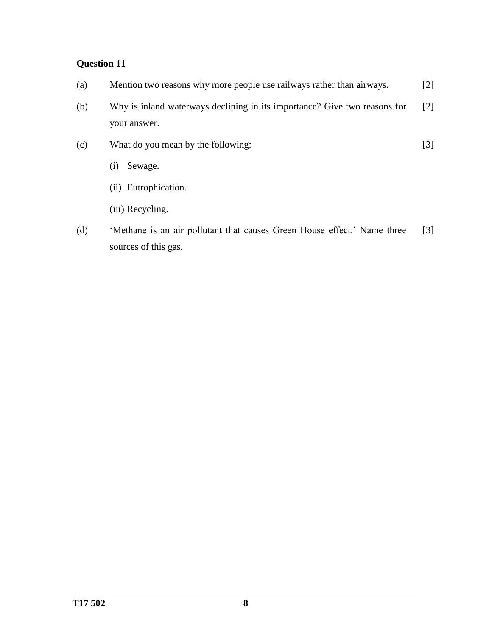| (a) | Mention two reasons why more people use railways rather than airways.                     | [2]               |
|-----|-------------------------------------------------------------------------------------------|-------------------|
| (b) | Why is inland waterways declining in its importance? Give two reasons for<br>your answer. | $\lceil 2 \rceil$ |
| (c) | What do you mean by the following:                                                        | [3]               |
|     | Sewage.<br>(1)                                                                            |                   |

- (ii) Eutrophication.
- (iii) Recycling.
- (d) 'Methane is an air pollutant that causes Green House effect.' Name three sources of this gas. [3]